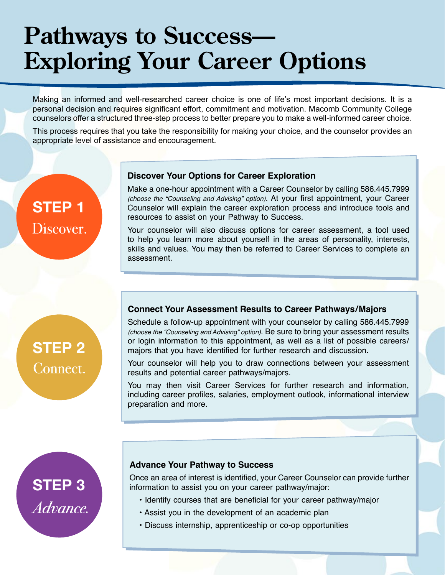# **Pathways to Success— Exploring Your Career Options**

Making an informed and well-researched career choice is one of life's most important decisions. It is a personal decision and requires significant effort, commitment and motivation. Macomb Community College counselors offer a structured three-step process to better prepare you to make a well-informed career choice.

This process requires that you take the responsibility for making your choice, and the counselor provides an appropriate level of assistance and encouragement.

### **STEP 1** Discover.

#### **Discover Your Options for Career Exploration**

Make a one-hour appointment with a Career Counselor by calling 586.445.7999 *(choose the "Counseling and Advising" option)*. At your first appointment, your Career Counselor will explain the career exploration process and introduce tools and resources to assist on your Pathway to Success.

Your counselor will also discuss options for career assessment, a tool used to help you learn more about yourself in the areas of personality, interests, skills and values. You may then be referred to Career Services to complete an assessment.

## **STEP 2** Connect.

### **Connect Your Assessment Results to Career Pathways/Majors**

Schedule a follow-up appointment with your counselor by calling 586.445.7999 *(choose the "Counseling and Advising" option)*. Be sure to bring your assessment results or login information to this appointment, as well as a list of possible careers/ majors that you have identified for further research and discussion.

Your counselor will help you to draw connections between your assessment results and potential career pathways/majors.

You may then visit Career Services for further research and information, including career profiles, salaries, employment outlook, informational interview preparation and more.

# **STEP 3** Advance.

#### **Advance Your Pathway to Success**

Once an area of interest is identified, your Career Counselor can provide further information to assist you on your career pathway/major:

- Identify courses that are beneficial for your career pathway/major
- Assist you in the development of an academic plan
- Discuss internship, apprenticeship or co-op opportunities